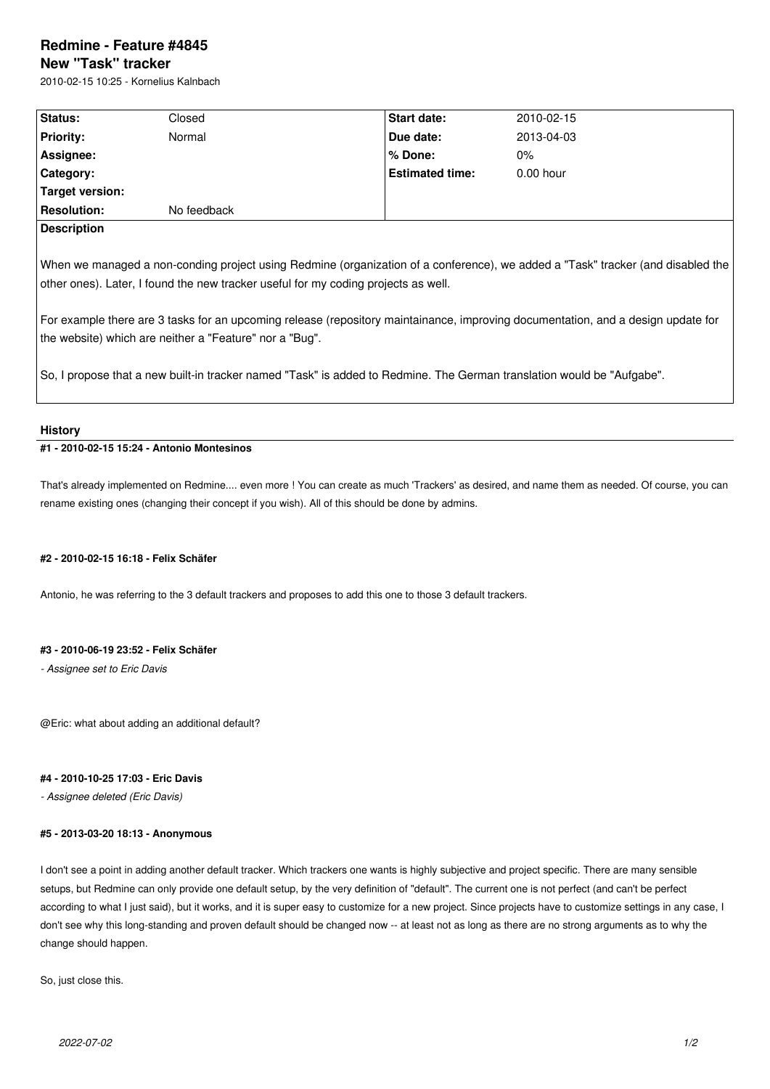# **Redmine - Feature #4845**

# **New "Task" tracker**

2010-02-15 10:25 - Kornelius Kalnbach

| Status:                                                                                                                                                                                                                                                                                                                                                                                                              | Closed      | Start date:            | 2010-02-15  |
|----------------------------------------------------------------------------------------------------------------------------------------------------------------------------------------------------------------------------------------------------------------------------------------------------------------------------------------------------------------------------------------------------------------------|-------------|------------------------|-------------|
| <b>Priority:</b>                                                                                                                                                                                                                                                                                                                                                                                                     | Normal      | Due date:              | 2013-04-03  |
| Assignee:                                                                                                                                                                                                                                                                                                                                                                                                            |             | $%$ Done:              | $0\%$       |
| Category:                                                                                                                                                                                                                                                                                                                                                                                                            |             | <b>Estimated time:</b> | $0.00$ hour |
| Target version:                                                                                                                                                                                                                                                                                                                                                                                                      |             |                        |             |
| <b>Resolution:</b>                                                                                                                                                                                                                                                                                                                                                                                                   | No feedback |                        |             |
| <b>Description</b>                                                                                                                                                                                                                                                                                                                                                                                                   |             |                        |             |
| When we managed a non-conding project using Redmine (organization of a conference), we added a "Task" tracker (and disabled the<br>other ones). Later, I found the new tracker useful for my coding projects as well.<br>For example there are 3 tasks for an upcoming release (repository maintainance, improving documentation, and a design update for<br>the website) which are neither a "Feature" nor a "Bug". |             |                        |             |
| So, I propose that a new built-in tracker named "Task" is added to Redmine. The German translation would be "Aufgabe".                                                                                                                                                                                                                                                                                               |             |                        |             |

## **History**

# **#1 - 2010-02-15 15:24 - Antonio Montesinos**

That's already implemented on Redmine.... even more ! You can create as much 'Trackers' as desired, and name them as needed. Of course, you can rename existing ones (changing their concept if you wish). All of this should be done by admins.

#### **#2 - 2010-02-15 16:18 - Felix Schäfer**

Antonio, he was referring to the 3 default trackers and proposes to add this one to those 3 default trackers.

#### **#3 - 2010-06-19 23:52 - Felix Schäfer**

*- Assignee set to Eric Davis*

@Eric: what about adding an additional default?

# **#4 - 2010-10-25 17:03 - Eric Davis**

*- Assignee deleted (Eric Davis)*

#### **#5 - 2013-03-20 18:13 - Anonymous**

I don't see a point in adding another default tracker. Which trackers one wants is highly subjective and project specific. There are many sensible setups, but Redmine can only provide one default setup, by the very definition of "default". The current one is not perfect (and can't be perfect according to what I just said), but it works, and it is super easy to customize for a new project. Since projects have to customize settings in any case, I don't see why this long-standing and proven default should be changed now -- at least not as long as there are no strong arguments as to why the change should happen.

So, just close this.